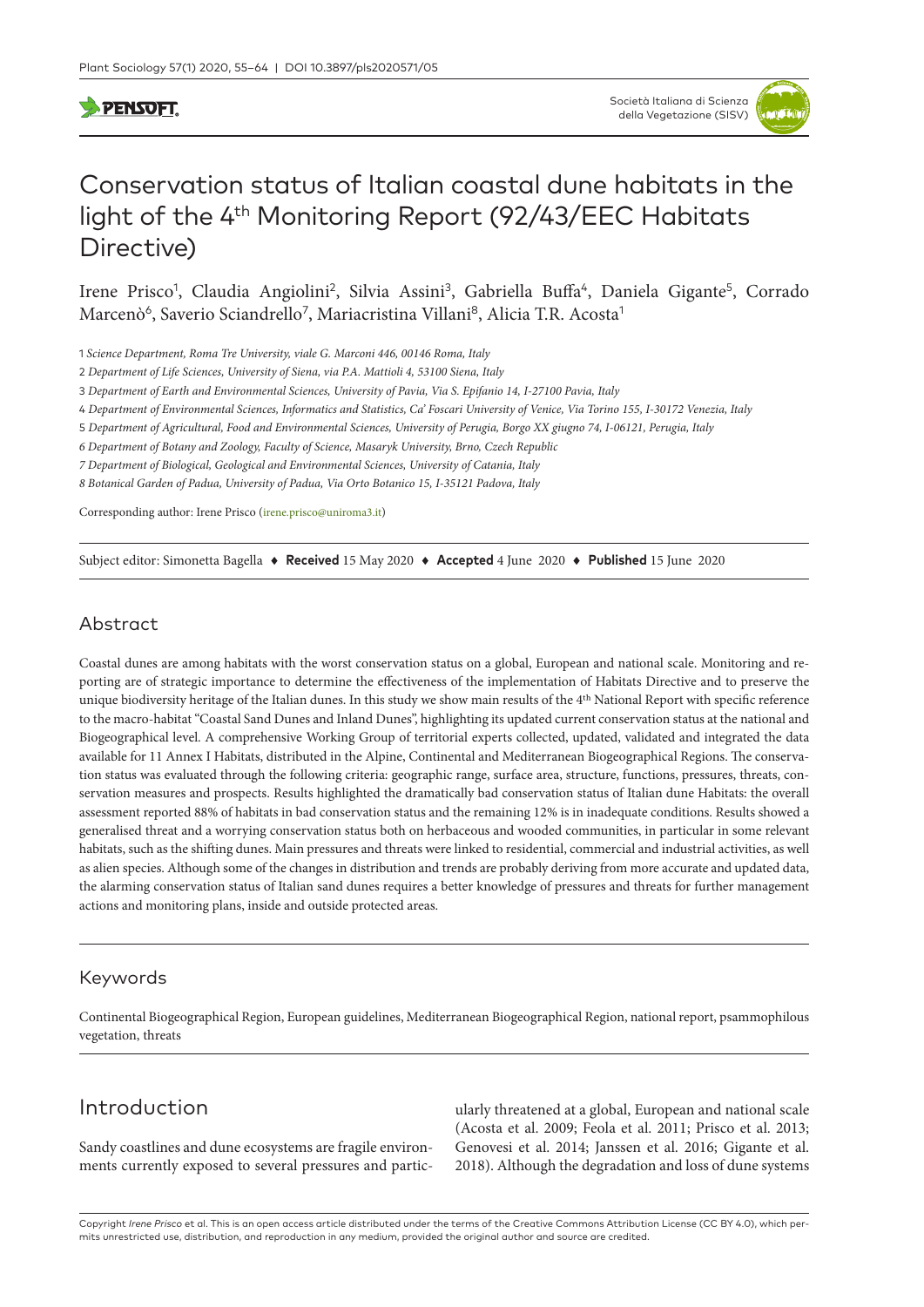## **SPENSOFT**

# Conservation status of Italian coastal dune habitats in the light of the 4<sup>th</sup> Monitoring Report (92/43/EEC Habitats Directive)

Irene Prisco<sup>1</sup>, Claudia Angiolini<sup>2</sup>, Silvia Assini<sup>3</sup>, Gabriella Buffa<sup>4</sup>, Daniela Gigante<sup>5</sup>, Corrado Marcenò<sup>6</sup>, Saverio Sciandrello<sup>7</sup>, Mariacristina Villani<sup>8</sup>, Alicia T.R. Acosta<sup>1</sup>

1 *Science Department, Roma Tre University, viale G. Marconi 446, 00146 Roma, Italy*

2 *Department of Life Sciences, University of Siena, via P.A. Mattioli 4, 53100 Siena, Italy*

3 *Department of Earth and Environmental Sciences, University of Pavia, Via S. Epifanio 14, I-27100 Pavia, Italy*

4 *Department of Environmental Sciences, Informatics and Statistics, Ca' Foscari University of Venice, Via Torino 155, I-30172 Venezia, Italy*

5 *Department of Agricultural, Food and Environmental Sciences, University of Perugia, Borgo XX giugno 74, I-06121, Perugia, Italy*

*6 Department of Botany and Zoology, Faculty of Science, Masaryk University, Brno, Czech Republic*

*7 Department of Biological, Geological and Environmental Sciences, University of Catania, Italy*

*8 Botanical Garden of Padua, University of Padua, Via Orto Botanico 15, I-35121 Padova, Italy*

Corresponding author: Irene Prisco ([irene.prisco@uniroma3.it\)](mailto:irene.prisco@uniroma3.it)

Subject editor: Simonetta Bagella ♦ **Received** 15 May 2020 ♦ **Accepted** 4 June 2020 ♦ **Published** 15 June 2020

#### Abstract

Coastal dunes are among habitats with the worst conservation status on a global, European and national scale. Monitoring and reporting are of strategic importance to determine the effectiveness of the implementation of Habitats Directive and to preserve the unique biodiversity heritage of the Italian dunes. In this study we show main results of the 4th National Report with specific reference to the macro-habitat "Coastal Sand Dunes and Inland Dunes", highlighting its updated current conservation status at the national and Biogeographical level. A comprehensive Working Group of territorial experts collected, updated, validated and integrated the data available for 11 Annex I Habitats, distributed in the Alpine, Continental and Mediterranean Biogeographical Regions. The conservation status was evaluated through the following criteria: geographic range, surface area, structure, functions, pressures, threats, conservation measures and prospects. Results highlighted the dramatically bad conservation status of Italian dune Habitats: the overall assessment reported 88% of habitats in bad conservation status and the remaining 12% is in inadequate conditions. Results showed a generalised threat and a worrying conservation status both on herbaceous and wooded communities, in particular in some relevant habitats, such as the shifting dunes. Main pressures and threats were linked to residential, commercial and industrial activities, as well as alien species. Although some of the changes in distribution and trends are probably deriving from more accurate and updated data, the alarming conservation status of Italian sand dunes requires a better knowledge of pressures and threats for further management actions and monitoring plans, inside and outside protected areas.

#### Keywords

Continental Biogeographical Region, European guidelines, Mediterranean Biogeographical Region, national report, psammophilous vegetation, threats

## Introduction

Sandy coastlines and dune ecosystems are fragile environments currently exposed to several pressures and partic-

ularly threatened at a global, European and national scale (Acosta et al. 2009; Feola et al. 2011; Prisco et al. 2013; Genovesi et al. 2014; Janssen et al. 2016; Gigante et al. 2018). Although the degradation and loss of dune systems

Copyright *Irene Prisco* et al. This is an open access article distributed under the terms of the [Creative Commons Attribution License \(CC BY 4.0\)](http://creativecommons.org/licenses/by/4.0/), which permits unrestricted use, distribution, and reproduction in any medium, provided the original author and source are credited.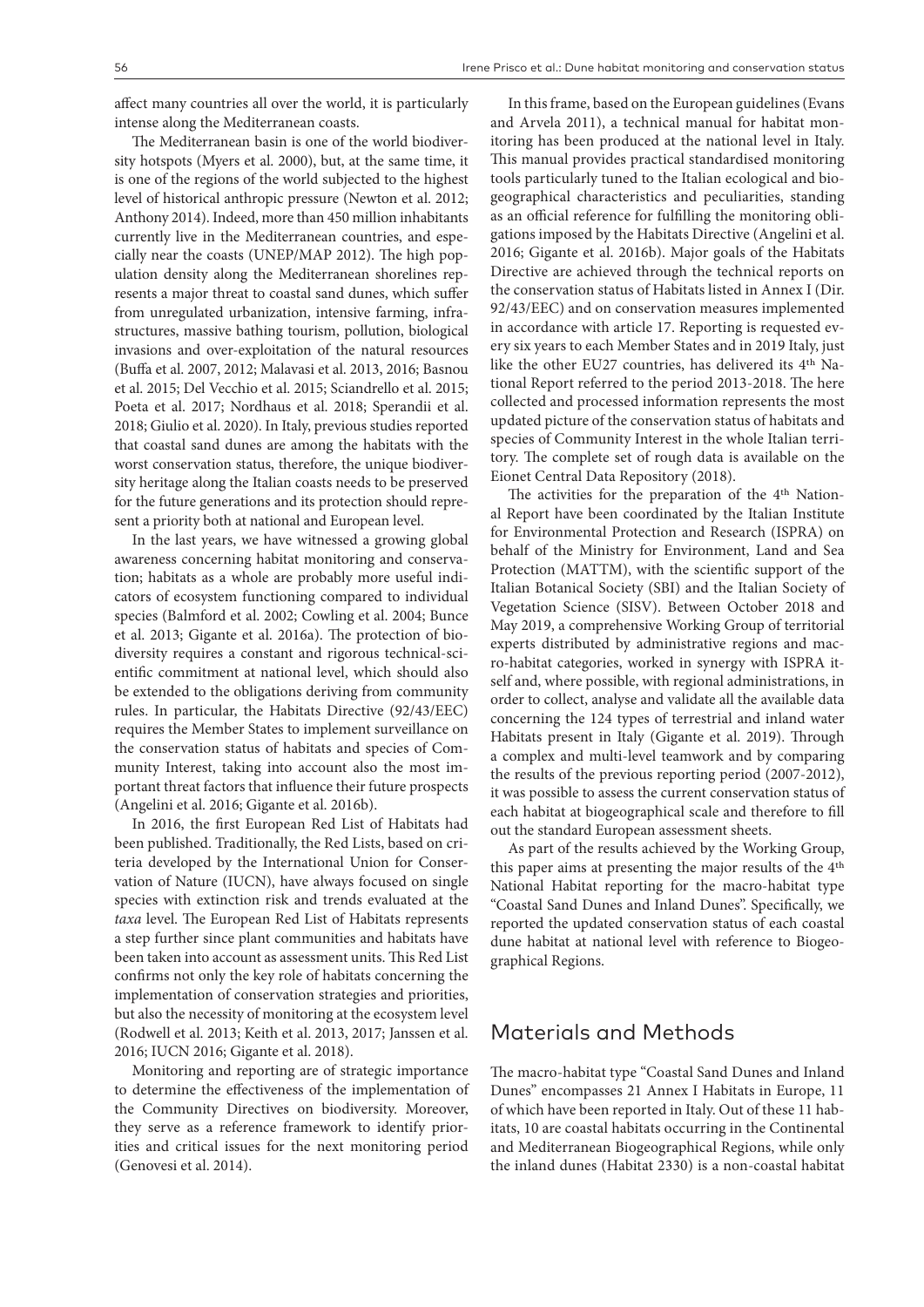affect many countries all over the world, it is particularly intense along the Mediterranean coasts.

The Mediterranean basin is one of the world biodiversity hotspots (Myers et al. 2000), but, at the same time, it is one of the regions of the world subjected to the highest level of historical anthropic pressure (Newton et al. 2012; Anthony 2014). Indeed, more than 450 million inhabitants currently live in the Mediterranean countries, and especially near the coasts (UNEP/MAP 2012). The high population density along the Mediterranean shorelines represents a major threat to coastal sand dunes, which suffer from unregulated urbanization, intensive farming, infrastructures, massive bathing tourism, pollution, biological invasions and over-exploitation of the natural resources (Buffa et al. 2007, 2012; Malavasi et al. 2013, 2016; Basnou et al. 2015; Del Vecchio et al. 2015; Sciandrello et al. 2015; Poeta et al. 2017; Nordhaus et al. 2018; Sperandii et al. 2018; Giulio et al. 2020). In Italy, previous studies reported that coastal sand dunes are among the habitats with the worst conservation status, therefore, the unique biodiversity heritage along the Italian coasts needs to be preserved for the future generations and its protection should represent a priority both at national and European level.

In the last years, we have witnessed a growing global awareness concerning habitat monitoring and conservation; habitats as a whole are probably more useful indicators of ecosystem functioning compared to individual species (Balmford et al. 2002; Cowling et al. 2004; Bunce et al. 2013; Gigante et al. 2016a). The protection of biodiversity requires a constant and rigorous technical-scientific commitment at national level, which should also be extended to the obligations deriving from community rules. In particular, the Habitats Directive (92/43/EEC) requires the Member States to implement surveillance on the conservation status of habitats and species of Community Interest, taking into account also the most important threat factors that influence their future prospects (Angelini et al. 2016; Gigante et al. 2016b).

In 2016, the first European Red List of Habitats had been published. Traditionally, the Red Lists, based on criteria developed by the International Union for Conservation of Nature (IUCN), have always focused on single species with extinction risk and trends evaluated at the *taxa* level. The European Red List of Habitats represents a step further since plant communities and habitats have been taken into account as assessment units. This Red List confirms not only the key role of habitats concerning the implementation of conservation strategies and priorities, but also the necessity of monitoring at the ecosystem level (Rodwell et al. 2013; Keith et al. 2013, 2017; Janssen et al. 2016; IUCN 2016; Gigante et al. 2018).

Monitoring and reporting are of strategic importance to determine the effectiveness of the implementation of the Community Directives on biodiversity. Moreover, they serve as a reference framework to identify priorities and critical issues for the next monitoring period (Genovesi et al. 2014).

In this frame, based on the European guidelines (Evans and Arvela 2011), a technical manual for habitat monitoring has been produced at the national level in Italy. This manual provides practical standardised monitoring tools particularly tuned to the Italian ecological and biogeographical characteristics and peculiarities, standing as an official reference for fulfilling the monitoring obligations imposed by the Habitats Directive (Angelini et al. 2016; Gigante et al. 2016b). Major goals of the Habitats Directive are achieved through the technical reports on the conservation status of Habitats listed in Annex I (Dir. 92/43/EEC) and on conservation measures implemented in accordance with article 17. Reporting is requested every six years to each Member States and in 2019 Italy, just like the other EU27 countries, has delivered its 4th National Report referred to the period 2013-2018. The here collected and processed information represents the most updated picture of the conservation status of habitats and species of Community Interest in the whole Italian territory. The complete set of rough data is available on the Eionet Central Data Repository (2018).

The activities for the preparation of the 4th National Report have been coordinated by the Italian Institute for Environmental Protection and Research (ISPRA) on behalf of the Ministry for Environment, Land and Sea Protection (MATTM), with the scientific support of the Italian Botanical Society (SBI) and the Italian Society of Vegetation Science (SISV). Between October 2018 and May 2019, a comprehensive Working Group of territorial experts distributed by administrative regions and macro-habitat categories, worked in synergy with ISPRA itself and, where possible, with regional administrations, in order to collect, analyse and validate all the available data concerning the 124 types of terrestrial and inland water Habitats present in Italy (Gigante et al. 2019). Through a complex and multi-level teamwork and by comparing the results of the previous reporting period (2007-2012), it was possible to assess the current conservation status of each habitat at biogeographical scale and therefore to fill out the standard European assessment sheets.

As part of the results achieved by the Working Group, this paper aims at presenting the major results of the 4th National Habitat reporting for the macro-habitat type "Coastal Sand Dunes and Inland Dunes". Specifically, we reported the updated conservation status of each coastal dune habitat at national level with reference to Biogeographical Regions.

## Materials and Methods

The macro-habitat type "Coastal Sand Dunes and Inland Dunes" encompasses 21 Annex I Habitats in Europe, 11 of which have been reported in Italy. Out of these 11 habitats, 10 are coastal habitats occurring in the Continental and Mediterranean Biogeographical Regions, while only the inland dunes (Habitat 2330) is a non-coastal habitat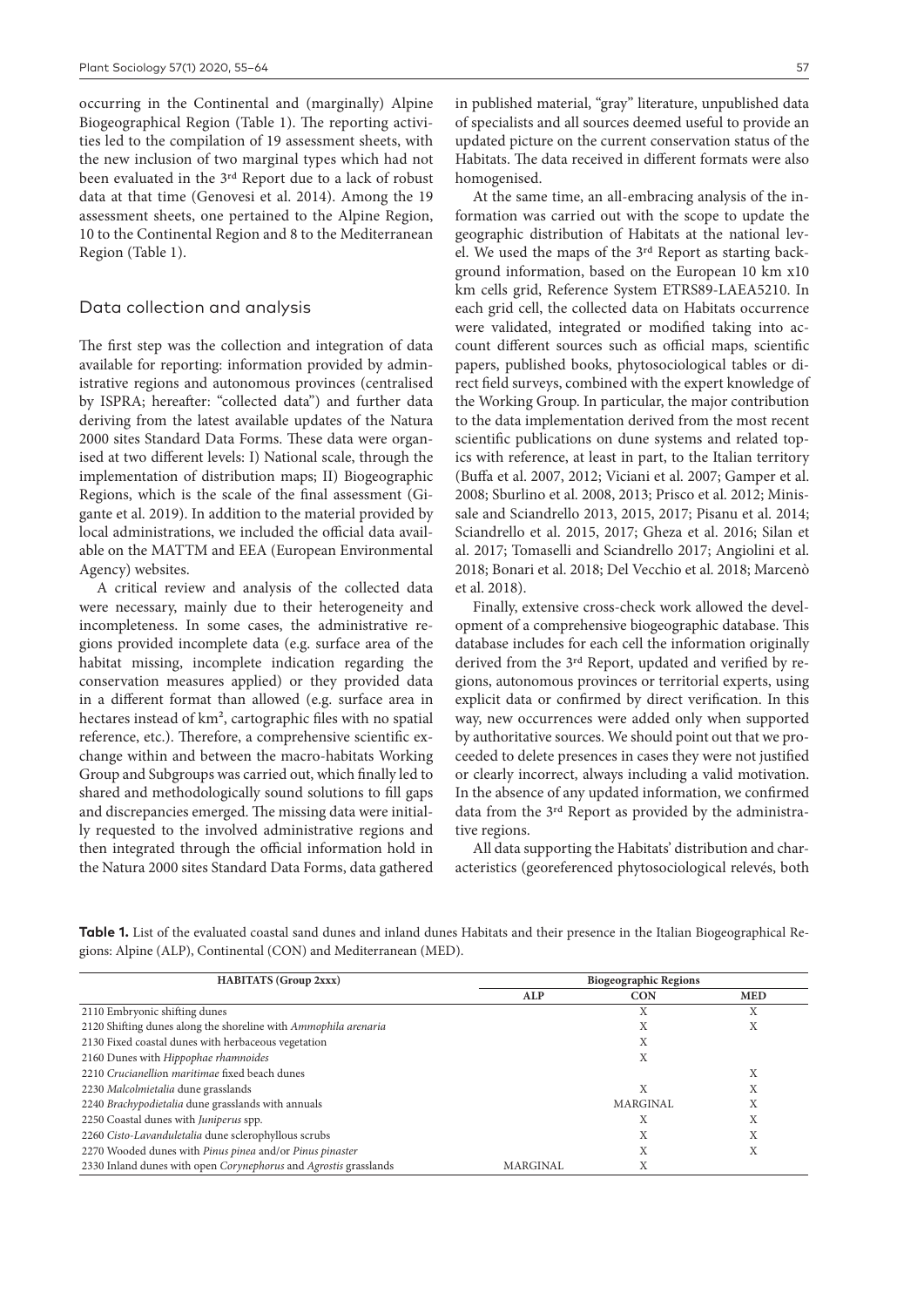occurring in the Continental and (marginally) Alpine Biogeographical Region (Table 1). The reporting activities led to the compilation of 19 assessment sheets, with the new inclusion of two marginal types which had not been evaluated in the 3rd Report due to a lack of robust data at that time (Genovesi et al. 2014). Among the 19 assessment sheets, one pertained to the Alpine Region, 10 to the Continental Region and 8 to the Mediterranean Region (Table 1).

#### Data collection and analysis

The first step was the collection and integration of data available for reporting: information provided by administrative regions and autonomous provinces (centralised by ISPRA; hereafter: "collected data") and further data deriving from the latest available updates of the Natura 2000 sites Standard Data Forms. These data were organised at two different levels: I) National scale, through the implementation of distribution maps; II) Biogeographic Regions, which is the scale of the final assessment (Gigante et al. 2019). In addition to the material provided by local administrations, we included the official data available on the MATTM and EEA (European Environmental Agency) websites.

A critical review and analysis of the collected data were necessary, mainly due to their heterogeneity and incompleteness. In some cases, the administrative regions provided incomplete data (e.g. surface area of the habitat missing, incomplete indication regarding the conservation measures applied) or they provided data in a different format than allowed (e.g. surface area in hectares instead of km<sup>2</sup>, cartographic files with no spatial reference, etc.). Therefore, a comprehensive scientific exchange within and between the macro-habitats Working Group and Subgroups was carried out, which finally led to shared and methodologically sound solutions to fill gaps and discrepancies emerged. The missing data were initially requested to the involved administrative regions and then integrated through the official information hold in the Natura 2000 sites Standard Data Forms, data gathered in published material, "gray" literature, unpublished data of specialists and all sources deemed useful to provide an updated picture on the current conservation status of the Habitats. The data received in different formats were also homogenised.

At the same time, an all-embracing analysis of the information was carried out with the scope to update the geographic distribution of Habitats at the national level. We used the maps of the 3rd Report as starting background information, based on the European 10 km x10 km cells grid, Reference System ETRS89-LAEA5210. In each grid cell, the collected data on Habitats occurrence were validated, integrated or modified taking into account different sources such as official maps, scientific papers, published books, phytosociological tables or direct field surveys, combined with the expert knowledge of the Working Group. In particular, the major contribution to the data implementation derived from the most recent scientific publications on dune systems and related topics with reference, at least in part, to the Italian territory (Buffa et al. 2007, 2012; Viciani et al. 2007; Gamper et al. 2008; Sburlino et al. 2008, 2013; Prisco et al. 2012; Minissale and Sciandrello 2013, 2015, 2017; Pisanu et al. 2014; Sciandrello et al. 2015, 2017; Gheza et al. 2016; Silan et al. 2017; Tomaselli and Sciandrello 2017; Angiolini et al. 2018; Bonari et al. 2018; Del Vecchio et al. 2018; Marcenò et al. 2018).

Finally, extensive cross-check work allowed the development of a comprehensive biogeographic database. This database includes for each cell the information originally derived from the 3rd Report, updated and verified by regions, autonomous provinces or territorial experts, using explicit data or confirmed by direct verification. In this way, new occurrences were added only when supported by authoritative sources. We should point out that we proceeded to delete presences in cases they were not justified or clearly incorrect, always including a valid motivation. In the absence of any updated information, we confirmed data from the 3rd Report as provided by the administrative regions.

All data supporting the Habitats' distribution and characteristics (georeferenced phytosociological relevés, both

| <b>HABITATS</b> (Group 2xxx)                                     |          | <b>Biogeographic Regions</b> |            |  |  |  |
|------------------------------------------------------------------|----------|------------------------------|------------|--|--|--|
|                                                                  | ALP      | <b>CON</b>                   | <b>MED</b> |  |  |  |
| 2110 Embryonic shifting dunes                                    |          | Х                            | л          |  |  |  |
| 2120 Shifting dunes along the shoreline with Ammophila arenaria  |          | Χ                            | Χ          |  |  |  |
| 2130 Fixed coastal dunes with herbaceous vegetation              |          | Χ                            |            |  |  |  |
| 2160 Dunes with Hippophae rhamnoides                             |          | Χ                            |            |  |  |  |
| 2210 Crucianellion maritimae fixed beach dunes                   |          |                              | X          |  |  |  |
| 2230 Malcolmietalia dune grasslands                              |          | Х                            | л          |  |  |  |
| 2240 Brachypodietalia dune grasslands with annuals               |          | MARGINAL                     | Χ          |  |  |  |
| 2250 Coastal dunes with Juniperus spp.                           |          | л                            | Χ          |  |  |  |
| 2260 Cisto-Lavanduletalia dune sclerophyllous scrubs             |          | Χ                            | Х          |  |  |  |
| 2270 Wooded dunes with Pinus pinea and/or Pinus pinaster         |          | v<br>л                       | л          |  |  |  |
| 2330 Inland dunes with open Corynephorus and Agrostis grasslands | MARGINAL | Χ                            |            |  |  |  |

Table 1. List of the evaluated coastal sand dunes and inland dunes Habitats and their presence in the Italian Biogeographical Regions: Alpine (ALP), Continental (CON) and Mediterranean (MED).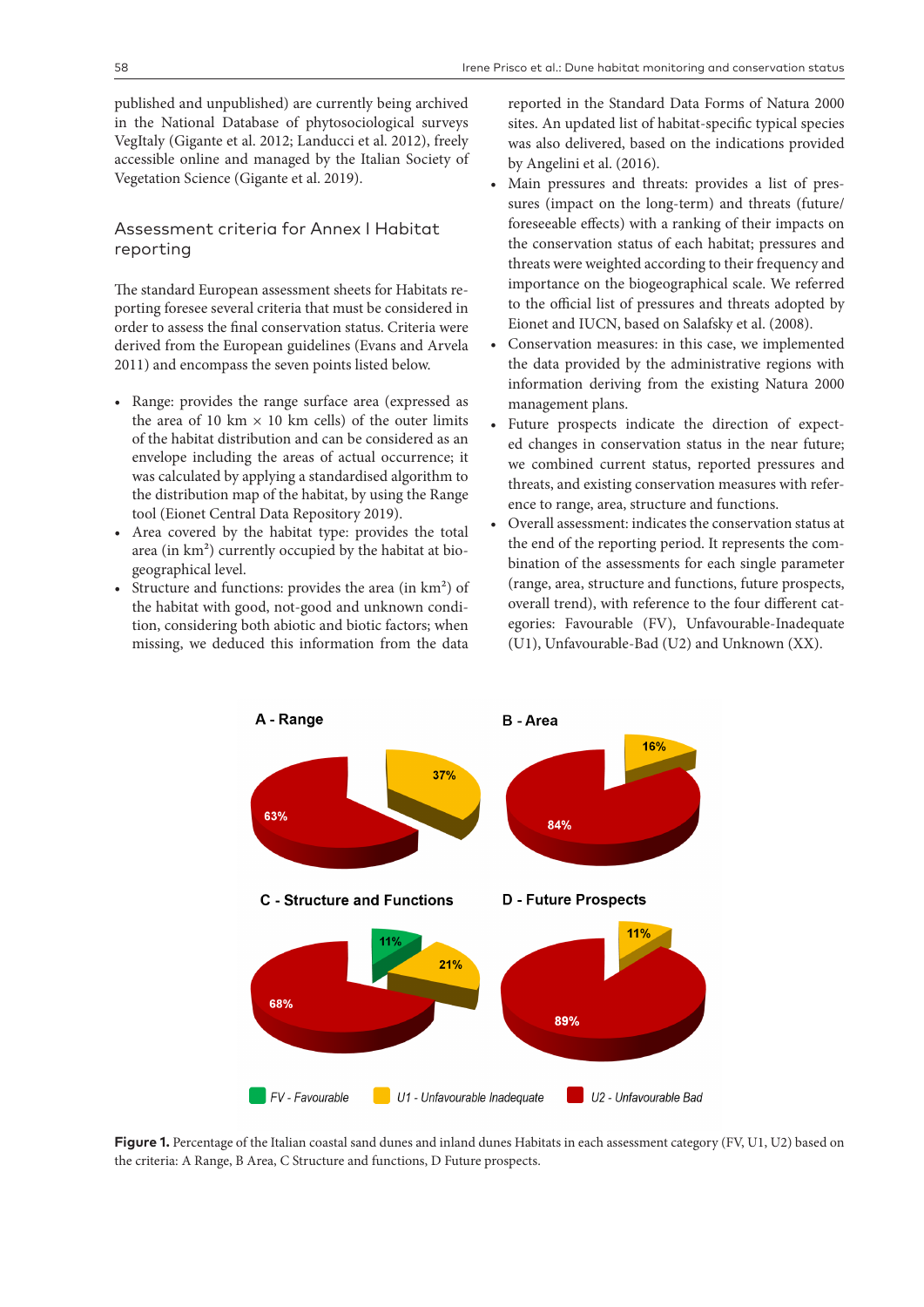published and unpublished) are currently being archived in the National Database of phytosociological surveys VegItaly (Gigante et al. 2012; Landucci et al. 2012), freely accessible online and managed by the Italian Society of Vegetation Science (Gigante et al. 2019).

## Assessment criteria for Annex I Habitat reporting

The standard European assessment sheets for Habitats reporting foresee several criteria that must be considered in order to assess the final conservation status. Criteria were derived from the European guidelines (Evans and Arvela 2011) and encompass the seven points listed below.

- Range: provides the range surface area (expressed as the area of 10 km  $\times$  10 km cells) of the outer limits of the habitat distribution and can be considered as an envelope including the areas of actual occurrence; it was calculated by applying a standardised algorithm to the distribution map of the habitat, by using the Range tool (Eionet Central Data Repository 2019).
- Area covered by the habitat type: provides the total area (in km²) currently occupied by the habitat at biogeographical level.
- Structure and functions: provides the area (in km<sup>2</sup>) of the habitat with good, not-good and unknown condition, considering both abiotic and biotic factors; when missing, we deduced this information from the data

reported in the Standard Data Forms of Natura 2000 sites. An updated list of habitat-specific typical species was also delivered, based on the indications provided by Angelini et al. (2016).

- Main pressures and threats: provides a list of pressures (impact on the long-term) and threats (future/ foreseeable effects) with a ranking of their impacts on the conservation status of each habitat; pressures and threats were weighted according to their frequency and importance on the biogeographical scale. We referred to the official list of pressures and threats adopted by Eionet and IUCN, based on Salafsky et al. (2008).
- Conservation measures: in this case, we implemented the data provided by the administrative regions with information deriving from the existing Natura 2000 management plans.
- Future prospects indicate the direction of expected changes in conservation status in the near future; we combined current status, reported pressures and threats, and existing conservation measures with reference to range, area, structure and functions.
- Overall assessment: indicates the conservation status at the end of the reporting period. It represents the combination of the assessments for each single parameter (range, area, structure and functions, future prospects, overall trend), with reference to the four different categories: Favourable (FV), Unfavourable-Inadequate (U1), Unfavourable-Bad (U2) and Unknown (XX).



Figure 1. Percentage of the Italian coastal sand dunes and inland dunes Habitats in each assessment category (FV, U1, U2) based on the criteria: A Range, B Area, C Structure and functions, D Future prospects.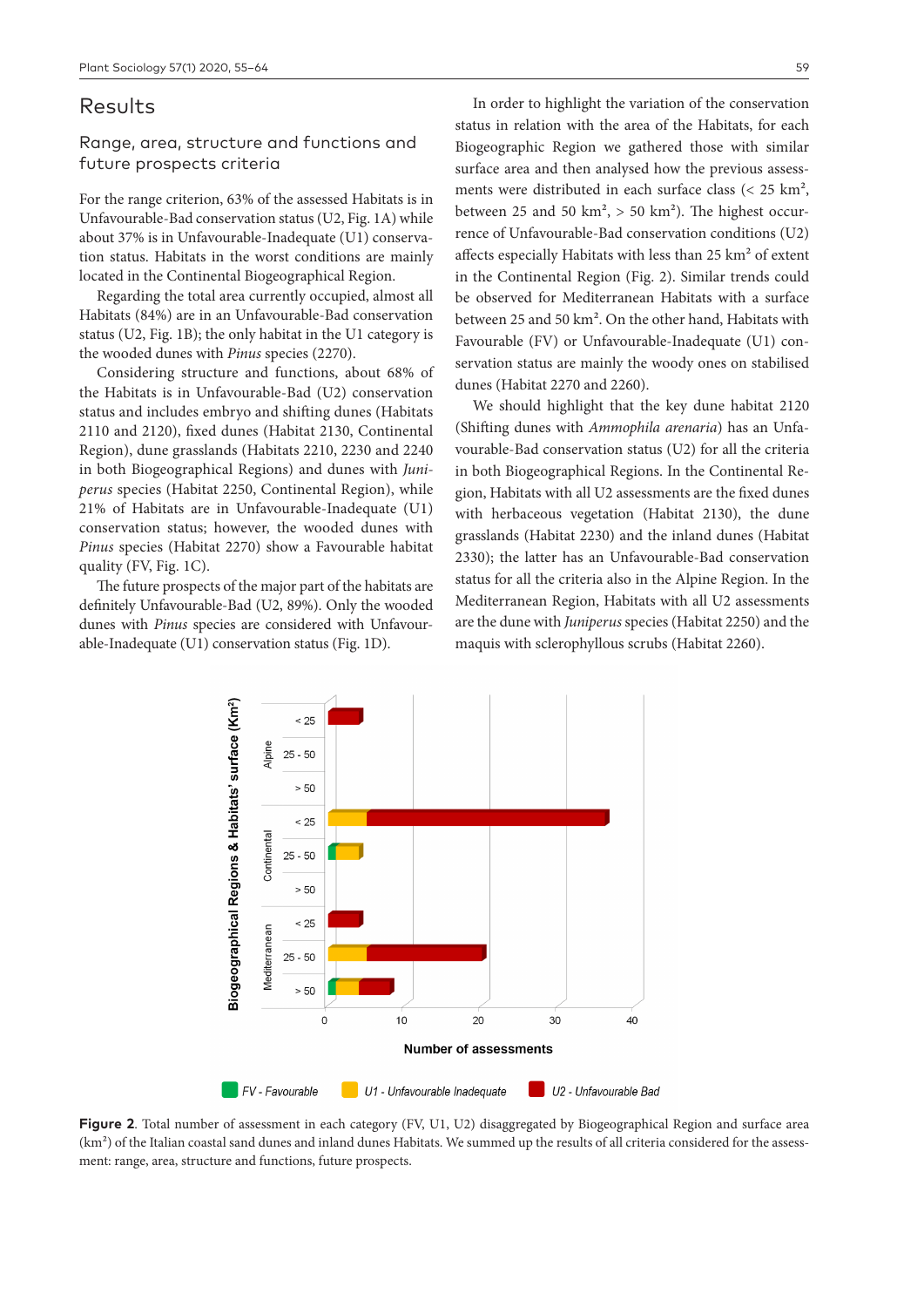## Results

## Range, area, structure and functions and future prospects criteria

For the range criterion, 63% of the assessed Habitats is in Unfavourable-Bad conservation status (U2, Fig. 1A) while about 37% is in Unfavourable-Inadequate (U1) conservation status. Habitats in the worst conditions are mainly located in the Continental Biogeographical Region.

Regarding the total area currently occupied, almost all Habitats (84%) are in an Unfavourable-Bad conservation status (U2, Fig. 1B); the only habitat in the U1 category is the wooded dunes with *Pinus* species (2270).

Considering structure and functions, about 68% of the Habitats is in Unfavourable-Bad (U2) conservation status and includes embryo and shifting dunes (Habitats 2110 and 2120), fixed dunes (Habitat 2130, Continental Region), dune grasslands (Habitats 2210, 2230 and 2240 in both Biogeographical Regions) and dunes with *Juniperus* species (Habitat 2250, Continental Region), while 21% of Habitats are in Unfavourable-Inadequate (U1) conservation status; however, the wooded dunes with *Pinus* species (Habitat 2270) show a Favourable habitat quality (FV, Fig. 1C).

The future prospects of the major part of the habitats are definitely Unfavourable-Bad (U2, 89%). Only the wooded dunes with *Pinus* species are considered with Unfavourable-Inadequate (U1) conservation status (Fig. 1D).

In order to highlight the variation of the conservation status in relation with the area of the Habitats, for each Biogeographic Region we gathered those with similar surface area and then analysed how the previous assessments were distributed in each surface class ( $<$  25 km<sup>2</sup>, between 25 and 50 km<sup>2</sup>,  $> 50$  km<sup>2</sup>). The highest occurrence of Unfavourable-Bad conservation conditions (U2) affects especially Habitats with less than  $25 \text{ km}^2$  of extent in the Continental Region (Fig. 2). Similar trends could be observed for Mediterranean Habitats with a surface between 25 and 50 km2. On the other hand, Habitats with Favourable (FV) or Unfavourable-Inadequate (U1) conservation status are mainly the woody ones on stabilised

We should highlight that the key dune habitat 2120 (Shifting dunes with *Ammophila arenaria*) has an Unfavourable-Bad conservation status (U2) for all the criteria in both Biogeographical Regions. In the Continental Region, Habitats with all U2 assessments are the fixed dunes with herbaceous vegetation (Habitat 2130), the dune grasslands (Habitat 2230) and the inland dunes (Habitat 2330); the latter has an Unfavourable-Bad conservation status for all the criteria also in the Alpine Region. In the Mediterranean Region, Habitats with all U2 assessments are the dune with *Juniperus* species (Habitat 2250) and the maquis with sclerophyllous scrubs (Habitat 2260).

dunes (Habitat 2270 and 2260).



**Figure 2**. Total number of assessment in each category (FV, U1, U2) disaggregated by Biogeographical Region and surface area  $(km<sup>2</sup>)$  of the Italian coastal sand dunes and inland dunes Habitats. We summed up the results of all criteria considered for the assessment: range, area, structure and functions, future prospects.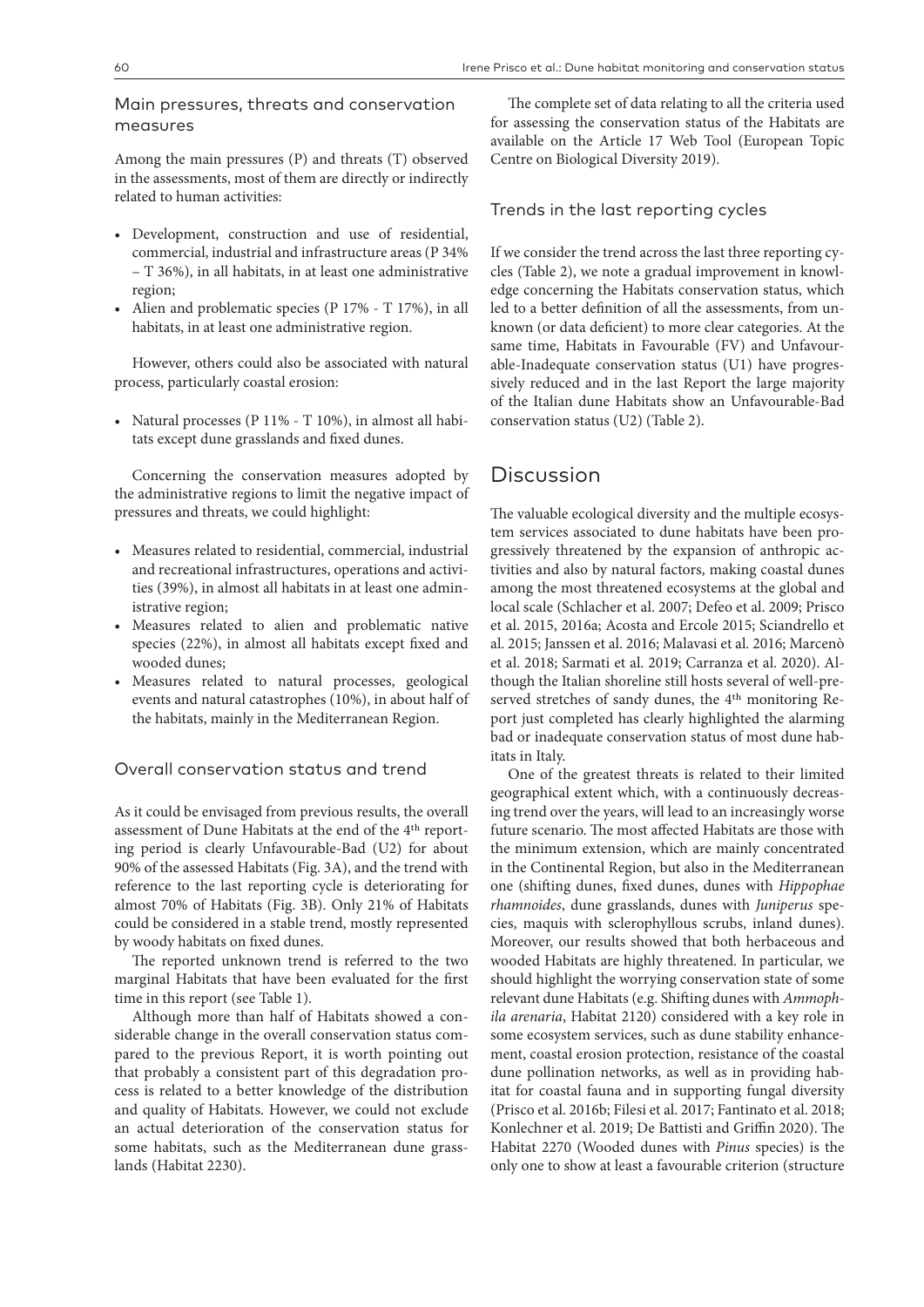#### Main pressures, threats and conservation measures

Among the main pressures (P) and threats (T) observed in the assessments, most of them are directly or indirectly related to human activities:

- Development, construction and use of residential, commercial, industrial and infrastructure areas (P 34% – T 36%), in all habitats, in at least one administrative region;
- Alien and problematic species (P 17% T 17%), in all habitats, in at least one administrative region.

However, others could also be associated with natural process, particularly coastal erosion:

• Natural processes (P 11% - T 10%), in almost all habitats except dune grasslands and fixed dunes.

Concerning the conservation measures adopted by the administrative regions to limit the negative impact of pressures and threats, we could highlight:

- Measures related to residential, commercial, industrial and recreational infrastructures, operations and activities (39%), in almost all habitats in at least one administrative region;
- Measures related to alien and problematic native species (22%), in almost all habitats except fixed and wooded dunes;
- Measures related to natural processes, geological events and natural catastrophes (10%), in about half of the habitats, mainly in the Mediterranean Region.

Overall conservation status and trend

As it could be envisaged from previous results, the overall assessment of Dune Habitats at the end of the 4th reporting period is clearly Unfavourable-Bad (U2) for about 90% of the assessed Habitats (Fig. 3A), and the trend with reference to the last reporting cycle is deteriorating for almost 70% of Habitats (Fig. 3B). Only 21% of Habitats could be considered in a stable trend, mostly represented by woody habitats on fixed dunes.

The reported unknown trend is referred to the two marginal Habitats that have been evaluated for the first time in this report (see Table 1).

Although more than half of Habitats showed a considerable change in the overall conservation status compared to the previous Report, it is worth pointing out that probably a consistent part of this degradation process is related to a better knowledge of the distribution and quality of Habitats. However, we could not exclude an actual deterioration of the conservation status for some habitats, such as the Mediterranean dune grasslands (Habitat 2230).

The complete set of data relating to all the criteria used for assessing the conservation status of the Habitats are available on the Article 17 Web Tool (European Topic Centre on Biological Diversity 2019).

#### Trends in the last reporting cycles

If we consider the trend across the last three reporting cycles (Table 2), we note a gradual improvement in knowledge concerning the Habitats conservation status, which led to a better definition of all the assessments, from unknown (or data deficient) to more clear categories. At the same time, Habitats in Favourable (FV) and Unfavourable-Inadequate conservation status (U1) have progressively reduced and in the last Report the large majority of the Italian dune Habitats show an Unfavourable-Bad conservation status (U2) (Table 2).

## Discussion

The valuable ecological diversity and the multiple ecosystem services associated to dune habitats have been progressively threatened by the expansion of anthropic activities and also by natural factors, making coastal dunes among the most threatened ecosystems at the global and local scale (Schlacher et al. 2007; Defeo et al. 2009; Prisco et al. 2015, 2016a; Acosta and Ercole 2015; Sciandrello et al. 2015; Janssen et al. 2016; Malavasi et al. 2016; Marcenò et al. 2018; Sarmati et al. 2019; Carranza et al. 2020). Although the Italian shoreline still hosts several of well-preserved stretches of sandy dunes, the 4th monitoring Report just completed has clearly highlighted the alarming bad or inadequate conservation status of most dune habitats in Italy.

One of the greatest threats is related to their limited geographical extent which, with a continuously decreasing trend over the years, will lead to an increasingly worse future scenario. The most affected Habitats are those with the minimum extension, which are mainly concentrated in the Continental Region, but also in the Mediterranean one (shifting dunes, fixed dunes, dunes with *Hippophae rhamnoides*, dune grasslands, dunes with *Juniperus* species, maquis with sclerophyllous scrubs, inland dunes). Moreover, our results showed that both herbaceous and wooded Habitats are highly threatened. In particular, we should highlight the worrying conservation state of some relevant dune Habitats (e.g. Shifting dunes with *Ammophila arenaria*, Habitat 2120) considered with a key role in some ecosystem services, such as dune stability enhancement, coastal erosion protection, resistance of the coastal dune pollination networks, as well as in providing habitat for coastal fauna and in supporting fungal diversity (Prisco et al. 2016b; Filesi et al. 2017; Fantinato et al. 2018; Konlechner et al. 2019; De Battisti and Griffin 2020). The Habitat 2270 (Wooded dunes with *Pinus* species) is the only one to show at least a favourable criterion (structure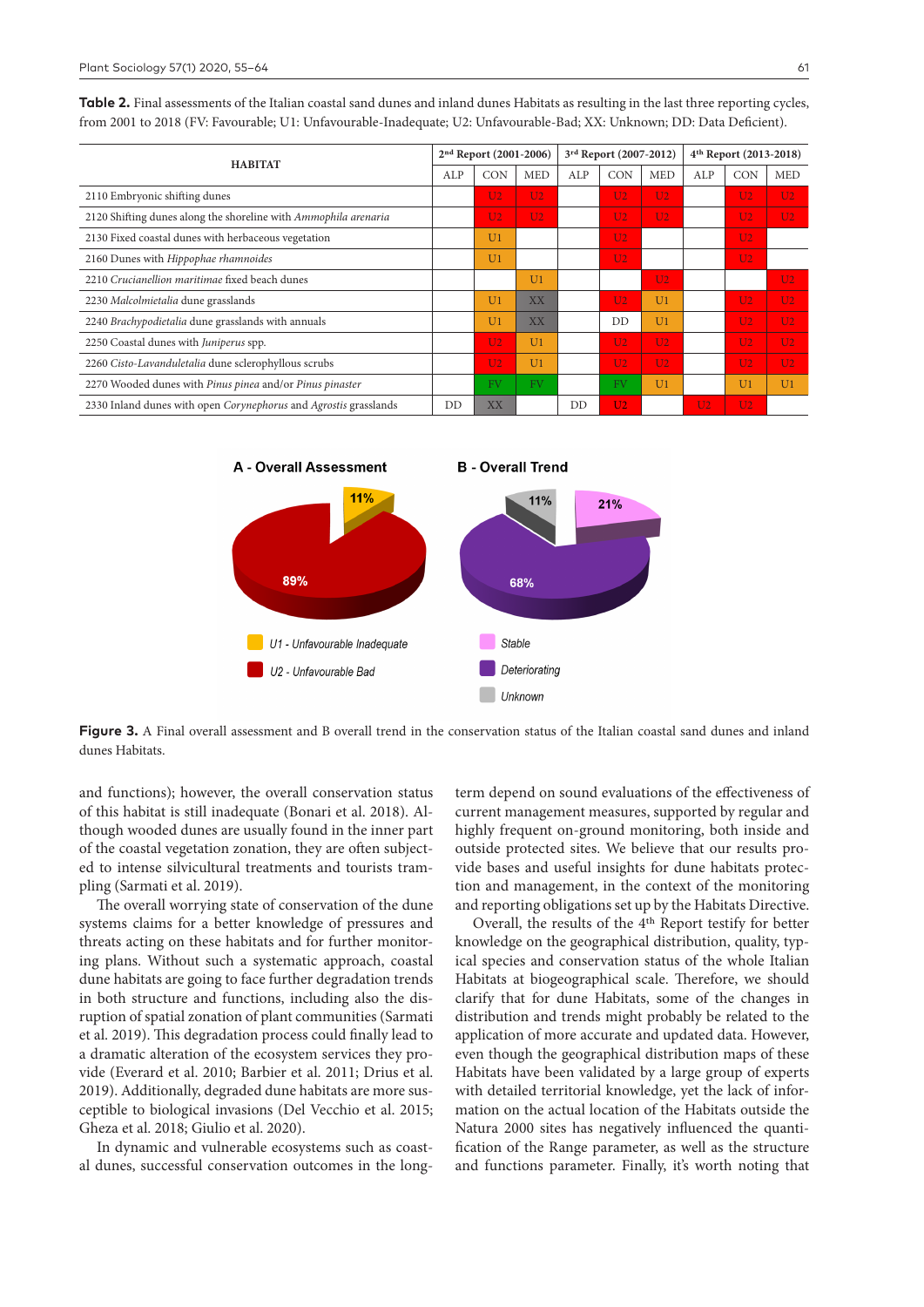Table 2. Final assessments of the Italian coastal sand dunes and inland dunes Habitats as resulting in the last three reporting cycles, from 2001 to 2018 (FV: Favourable; U1: Unfavourable-Inadequate; U2: Unfavourable-Bad; XX: Unknown; DD: Data Deficient).

| <b>HABITAT</b>                                                   | 2nd Report (2001-2006) |                |                | 3rd Report (2007-2012) |                |                | 4 <sup>th</sup> Report (2013-2018) |                |                |
|------------------------------------------------------------------|------------------------|----------------|----------------|------------------------|----------------|----------------|------------------------------------|----------------|----------------|
|                                                                  | ALP                    | <b>CON</b>     | <b>MED</b>     | ALP                    | CON            | <b>MED</b>     | ALP                                | <b>CON</b>     | <b>MED</b>     |
| 2110 Embryonic shifting dunes                                    |                        | U <sub>2</sub> | $112$          |                        | U <sub>2</sub> | U2             |                                    | U <sub>2</sub> | U <sub>2</sub> |
| 2120 Shifting dunes along the shoreline with Ammophila arenaria  |                        | U <sub>2</sub> | U <sub>2</sub> |                        | U <sub>2</sub> | U <sub>2</sub> |                                    | U <sub>2</sub> | U <sub>2</sub> |
| 2130 Fixed coastal dunes with herbaceous vegetation              |                        | U <sub>1</sub> |                |                        | U <sub>2</sub> |                |                                    | U <sub>2</sub> |                |
| 2160 Dunes with Hippophae rhamnoides                             |                        | U <sub>1</sub> |                |                        | U <sub>2</sub> |                |                                    | U <sub>2</sub> |                |
| 2210 Crucianellion maritimae fixed beach dunes                   |                        |                | U <sub>1</sub> |                        |                | U2             |                                    |                | U <sub>2</sub> |
| 2230 Malcolmietalia dune grasslands                              |                        | U <sub>1</sub> | XX             |                        | U <sub>2</sub> | U <sub>1</sub> |                                    | U <sub>2</sub> | U <sub>2</sub> |
| 2240 Brachypodietalia dune grasslands with annuals               |                        | U <sub>1</sub> | <b>XX</b>      |                        | DD             | U <sub>1</sub> |                                    | U <sub>2</sub> | U <sub>2</sub> |
| 2250 Coastal dunes with Juniperus spp.                           |                        | U <sub>2</sub> | U <sub>1</sub> |                        | U <sub>2</sub> | U <sub>2</sub> |                                    | U <sub>2</sub> | U <sub>2</sub> |
| 2260 Cisto-Lavanduletalia dune sclerophyllous scrubs             |                        | U <sub>2</sub> | U <sub>1</sub> |                        | U <sub>2</sub> | U <sub>2</sub> |                                    | U <sub>2</sub> | U <sub>2</sub> |
| 2270 Wooded dunes with Pinus pinea and/or Pinus pinaster         |                        | <b>FV</b>      | <b>FV</b>      |                        | <b>FV</b>      | U <sub>1</sub> |                                    | U <sub>1</sub> | U <sub>1</sub> |
| 2330 Inland dunes with open Corynephorus and Agrostis grasslands | DD                     | XX             |                | DD                     | U <sub>2</sub> |                | U <sub>2</sub>                     | U <sub>2</sub> |                |



**Figure 3.** A Final overall assessment and B overall trend in the conservation status of the Italian coastal sand dunes and inland dunes Habitats.

and functions); however, the overall conservation status of this habitat is still inadequate (Bonari et al. 2018). Although wooded dunes are usually found in the inner part of the coastal vegetation zonation, they are often subjected to intense silvicultural treatments and tourists trampling (Sarmati et al. 2019).

The overall worrying state of conservation of the dune systems claims for a better knowledge of pressures and threats acting on these habitats and for further monitoring plans. Without such a systematic approach, coastal dune habitats are going to face further degradation trends in both structure and functions, including also the disruption of spatial zonation of plant communities (Sarmati et al. 2019). This degradation process could finally lead to a dramatic alteration of the ecosystem services they provide (Everard et al. 2010; Barbier et al. 2011; Drius et al. 2019). Additionally, degraded dune habitats are more susceptible to biological invasions (Del Vecchio et al. 2015; Gheza et al. 2018; Giulio et al. 2020).

In dynamic and vulnerable ecosystems such as coastal dunes, successful conservation outcomes in the longterm depend on sound evaluations of the effectiveness of current management measures, supported by regular and highly frequent on-ground monitoring, both inside and outside protected sites. We believe that our results provide bases and useful insights for dune habitats protection and management, in the context of the monitoring and reporting obligations set up by the Habitats Directive.

Overall, the results of the 4th Report testify for better knowledge on the geographical distribution, quality, typical species and conservation status of the whole Italian Habitats at biogeographical scale. Therefore, we should clarify that for dune Habitats, some of the changes in distribution and trends might probably be related to the application of more accurate and updated data. However, even though the geographical distribution maps of these Habitats have been validated by a large group of experts with detailed territorial knowledge, yet the lack of information on the actual location of the Habitats outside the Natura 2000 sites has negatively influenced the quantification of the Range parameter, as well as the structure and functions parameter. Finally, it's worth noting that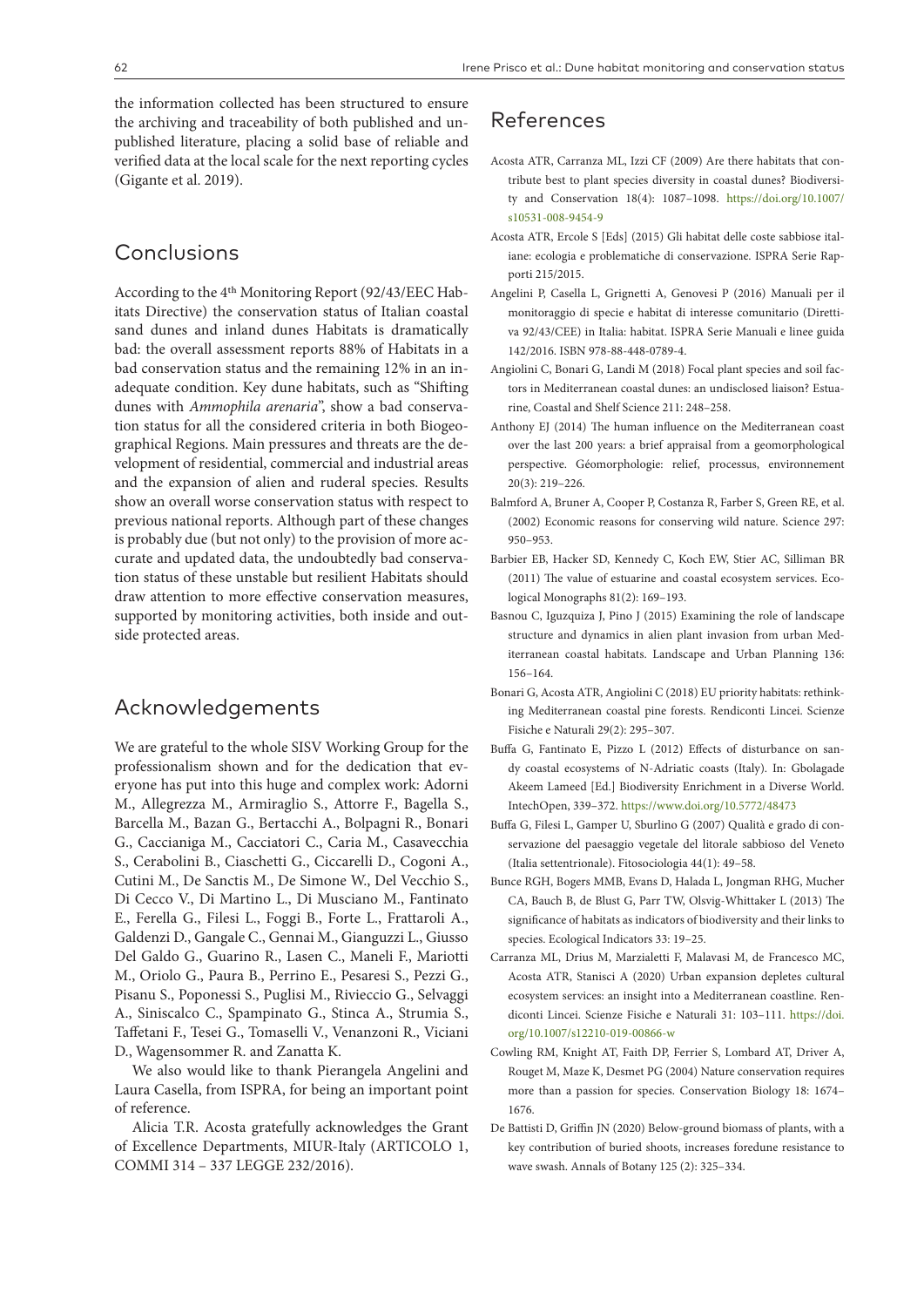the information collected has been structured to ensure the archiving and traceability of both published and unpublished literature, placing a solid base of reliable and verified data at the local scale for the next reporting cycles (Gigante et al. 2019).

# Conclusions

According to the 4th Monitoring Report (92/43/EEC Habitats Directive) the conservation status of Italian coastal sand dunes and inland dunes Habitats is dramatically bad: the overall assessment reports 88% of Habitats in a bad conservation status and the remaining 12% in an inadequate condition. Key dune habitats, such as "Shifting dunes with *Ammophila arenaria*", show a bad conservation status for all the considered criteria in both Biogeographical Regions. Main pressures and threats are the development of residential, commercial and industrial areas and the expansion of alien and ruderal species. Results show an overall worse conservation status with respect to previous national reports. Although part of these changes is probably due (but not only) to the provision of more accurate and updated data, the undoubtedly bad conservation status of these unstable but resilient Habitats should draw attention to more effective conservation measures, supported by monitoring activities, both inside and outside protected areas.

## Acknowledgements

We are grateful to the whole SISV Working Group for the professionalism shown and for the dedication that everyone has put into this huge and complex work: Adorni M., Allegrezza M., Armiraglio S., Attorre F., Bagella S., Barcella M., Bazan G., Bertacchi A., Bolpagni R., Bonari G., Caccianiga M., Cacciatori C., Caria M., Casavecchia S., Cerabolini B., Ciaschetti G., Ciccarelli D., Cogoni A., Cutini M., De Sanctis M., De Simone W., Del Vecchio S., Di Cecco V., Di Martino L., Di Musciano M., Fantinato E., Ferella G., Filesi L., Foggi B., Forte L., Frattaroli A., Galdenzi D., Gangale C., Gennai M., Gianguzzi L., Giusso Del Galdo G., Guarino R., Lasen C., Maneli F., Mariotti M., Oriolo G., Paura B., Perrino E., Pesaresi S., Pezzi G., Pisanu S., Poponessi S., Puglisi M., Rivieccio G., Selvaggi A., Siniscalco C., Spampinato G., Stinca A., Strumia S., Taffetani F., Tesei G., Tomaselli V., Venanzoni R., Viciani D., Wagensommer R. and Zanatta K.

We also would like to thank Pierangela Angelini and Laura Casella, from ISPRA, for being an important point of reference.

Alicia T.R. Acosta gratefully acknowledges the Grant of Excellence Departments, MIUR-Italy (ARTICOLO 1, COMMI 314 – 337 LEGGE 232/2016).

# References

- Acosta ATR, Carranza ML, Izzi CF (2009) Are there habitats that contribute best to plant species diversity in coastal dunes? Biodiversity and Conservation 18(4): 1087–1098. [https://doi.org/10.1007/](https://doi.org/10.1007/s10531-008-9454-9) [s10531-008-9454-9](https://doi.org/10.1007/s10531-008-9454-9)
- Acosta ATR, Ercole S [Eds] (2015) Gli habitat delle coste sabbiose italiane: ecologia e problematiche di conservazione. ISPRA Serie Rapporti 215/2015.
- Angelini P, Casella L, Grignetti A, Genovesi P (2016) Manuali per il monitoraggio di specie e habitat di interesse comunitario (Direttiva 92/43/CEE) in Italia: habitat. ISPRA Serie Manuali e linee guida 142/2016. ISBN 978-88-448-0789-4.
- Angiolini C, Bonari G, Landi M (2018) Focal plant species and soil factors in Mediterranean coastal dunes: an undisclosed liaison? Estuarine, Coastal and Shelf Science 211: 248–258.
- Anthony EJ (2014) The human influence on the Mediterranean coast over the last 200 years: a brief appraisal from a geomorphological perspective. Géomorphologie: relief, processus, environnement 20(3): 219–226.
- Balmford A, Bruner A, Cooper P, Costanza R, Farber S, Green RE, et al. (2002) Economic reasons for conserving wild nature. Science 297: 950–953.
- Barbier EB, Hacker SD, Kennedy C, Koch EW, Stier AC, Silliman BR (2011) The value of estuarine and coastal ecosystem services. Ecological Monographs 81(2): 169–193.
- Basnou C, Iguzquiza J, Pino J (2015) Examining the role of landscape structure and dynamics in alien plant invasion from urban Mediterranean coastal habitats. Landscape and Urban Planning 136: 156–164.
- Bonari G, Acosta ATR, Angiolini C (2018) EU priority habitats: rethinking Mediterranean coastal pine forests. Rendiconti Lincei. Scienze Fisiche e Naturali 29(2): 295–307.
- Buffa G, Fantinato E, Pizzo L (2012) Effects of disturbance on sandy coastal ecosystems of N-Adriatic coasts (Italy). In: Gbolagade Akeem Lameed [Ed.] Biodiversity Enrichment in a Diverse World. IntechOpen, 339–372.<https://www.doi.org/10.5772/48473>
- Buffa G, Filesi L, Gamper U, Sburlino G (2007) Qualità e grado di conservazione del paesaggio vegetale del litorale sabbioso del Veneto (Italia settentrionale). Fitosociologia 44(1): 49–58.
- Bunce RGH, Bogers MMB, Evans D, Halada L, Jongman RHG, Mucher CA, Bauch B, de Blust G, Parr TW, Olsvig-Whittaker L (2013) The significance of habitats as indicators of biodiversity and their links to species. Ecological Indicators 33: 19–25.
- Carranza ML, Drius M, Marzialetti F, Malavasi M, de Francesco MC, Acosta ATR, Stanisci A (2020) Urban expansion depletes cultural ecosystem services: an insight into a Mediterranean coastline. Rendiconti Lincei. Scienze Fisiche e Naturali 31: 103–111. [https://doi.](https://doi.org/10.1007/s12210-019-00866-w) [org/10.1007/s12210-019-00866-w](https://doi.org/10.1007/s12210-019-00866-w)
- Cowling RM, Knight AT, Faith DP, Ferrier S, Lombard AT, Driver A, Rouget M, Maze K, Desmet PG (2004) Nature conservation requires more than a passion for species. Conservation Biology 18: 1674– 1676.
- De Battisti D, Griffin JN (2020) Below-ground biomass of plants, with a key contribution of buried shoots, increases foredune resistance to wave swash. Annals of Botany 125 (2): 325–334.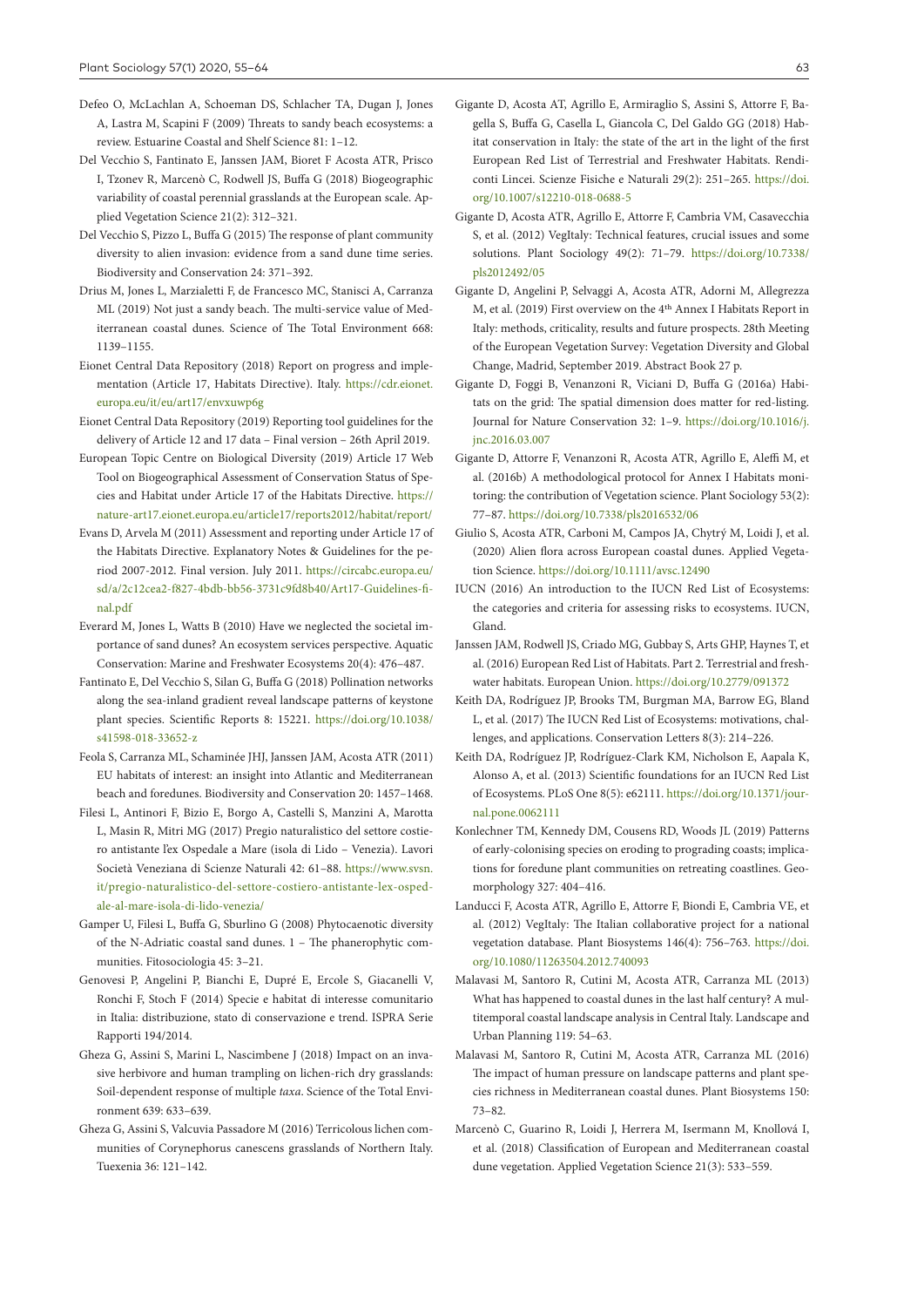- Defeo O, McLachlan A, Schoeman DS, Schlacher TA, Dugan J, Jones A, Lastra M, Scapini F (2009) Threats to sandy beach ecosystems: a review. Estuarine Coastal and Shelf Science 81: 1–12.
- Del Vecchio S, Fantinato E, Janssen JAM, Bioret F Acosta ATR, Prisco I, Tzonev R, Marcenò C, Rodwell JS, Buffa G (2018) Biogeographic variability of coastal perennial grasslands at the European scale. Applied Vegetation Science 21(2): 312–321.
- Del Vecchio S, Pizzo L, Buffa G (2015) The response of plant community diversity to alien invasion: evidence from a sand dune time series. Biodiversity and Conservation 24: 371–392.
- Drius M, Jones L, Marzialetti F, de Francesco MC, Stanisci A, Carranza ML (2019) Not just a sandy beach. The multi-service value of Mediterranean coastal dunes. Science of The Total Environment 668: 1139–1155.
- Eionet Central Data Repository (2018) Report on progress and implementation (Article 17, Habitats Directive). Italy. [https://cdr.eionet.](https://cdr.eionet.europa.eu/it/eu/art17/envxuwp6g) [europa.eu/it/eu/art17/envxuwp6g](https://cdr.eionet.europa.eu/it/eu/art17/envxuwp6g)
- Eionet Central Data Repository (2019) Reporting tool guidelines for the delivery of Article 12 and 17 data – Final version – 26th April 2019.
- European Topic Centre on Biological Diversity (2019) Article 17 Web Tool on Biogeographical Assessment of Conservation Status of Species and Habitat under Article 17 of the Habitats Directive. [https://](https://nature-art17.eionet.europa.eu/article17/reports2012/habitat/report/) [nature-art17.eionet.europa.eu/article17/reports2012/habitat/report/](https://nature-art17.eionet.europa.eu/article17/reports2012/habitat/report/)
- Evans D, Arvela M (2011) Assessment and reporting under Article 17 of the Habitats Directive. Explanatory Notes & Guidelines for the period 2007-2012. Final version. July 2011. [https://circabc.europa.eu/](https://circabc.europa.eu/sd/a/2c12cea2-f827-4bdb-bb56-3731c9fd8b40/Art17-Guidelines-final.pdf) [sd/a/2c12cea2-f827-4bdb-bb56-3731c9fd8b40/Art17-Guidelines-fi](https://circabc.europa.eu/sd/a/2c12cea2-f827-4bdb-bb56-3731c9fd8b40/Art17-Guidelines-final.pdf)[nal.pdf](https://circabc.europa.eu/sd/a/2c12cea2-f827-4bdb-bb56-3731c9fd8b40/Art17-Guidelines-final.pdf)
- Everard M, Jones L, Watts B (2010) Have we neglected the societal importance of sand dunes? An ecosystem services perspective. Aquatic Conservation: Marine and Freshwater Ecosystems 20(4): 476–487.
- Fantinato E, Del Vecchio S, Silan G, Buffa G (2018) Pollination networks along the sea-inland gradient reveal landscape patterns of keystone plant species. Scientific Reports 8: 15221. [https://doi.org/10.1038/](https://doi.org/10.1038/s41598-018-33652-z) [s41598-018-33652-z](https://doi.org/10.1038/s41598-018-33652-z)
- Feola S, Carranza ML, Schaminée JHJ, Janssen JAM, Acosta ATR (2011) EU habitats of interest: an insight into Atlantic and Mediterranean beach and foredunes. Biodiversity and Conservation 20: 1457–1468.
- Filesi L, Antinori F, Bizio E, Borgo A, Castelli S, Manzini A, Marotta L, Masin R, Mitri MG (2017) Pregio naturalistico del settore costiero antistante l'ex Ospedale a Mare (isola di Lido – Venezia). Lavori Società Veneziana di Scienze Naturali 42: 61–88. [https://www.svsn.](https://www.svsn.it/pregio-naturalistico-del-settore-costiero-antistante-lex-ospedale-al-mare-isola-di-lido-venezia/) [it/pregio-naturalistico-del-settore-costiero-antistante-lex-osped](https://www.svsn.it/pregio-naturalistico-del-settore-costiero-antistante-lex-ospedale-al-mare-isola-di-lido-venezia/)[ale-al-mare-isola-di-lido-venezia/](https://www.svsn.it/pregio-naturalistico-del-settore-costiero-antistante-lex-ospedale-al-mare-isola-di-lido-venezia/)
- Gamper U, Filesi L, Buffa G, Sburlino G (2008) Phytocaenotic diversity of the N-Adriatic coastal sand dunes. 1 – The phanerophytic communities. Fitosociologia 45: 3–21.
- Genovesi P, Angelini P, Bianchi E, Dupré E, Ercole S, Giacanelli V, Ronchi F, Stoch F (2014) Specie e habitat di interesse comunitario in Italia: distribuzione, stato di conservazione e trend. ISPRA Serie Rapporti 194/2014.
- Gheza G, Assini S, Marini L, Nascimbene J (2018) Impact on an invasive herbivore and human trampling on lichen-rich dry grasslands: Soil-dependent response of multiple *taxa*. Science of the Total Environment 639: 633–639.
- Gheza G, Assini S, Valcuvia Passadore M (2016) Terricolous lichen communities of Corynephorus canescens grasslands of Northern Italy. Tuexenia 36: 121–142.
- Gigante D, Acosta AT, Agrillo E, Armiraglio S, Assini S, Attorre F, Bagella S, Buffa G, Casella L, Giancola C, Del Galdo GG (2018) Habitat conservation in Italy: the state of the art in the light of the first European Red List of Terrestrial and Freshwater Habitats. Rendiconti Lincei. Scienze Fisiche e Naturali 29(2): 251–265. [https://doi.](https://doi.org/10.1007/s12210-018-0688-5) [org/10.1007/s12210-018-0688-5](https://doi.org/10.1007/s12210-018-0688-5)
- Gigante D, Acosta ATR, Agrillo E, Attorre F, Cambria VM, Casavecchia S, et al. (2012) VegItaly: Technical features, crucial issues and some solutions. Plant Sociology 49(2): 71–79. [https://doi.org/10.7338/](https://doi.org/10.7338/pls2012492/05) [pls2012492/05](https://doi.org/10.7338/pls2012492/05)
- Gigante D, Angelini P, Selvaggi A, Acosta ATR, Adorni M, Allegrezza M, et al. (2019) First overview on the 4th Annex I Habitats Report in Italy: methods, criticality, results and future prospects. 28th Meeting of the European Vegetation Survey: Vegetation Diversity and Global Change, Madrid, September 2019. Abstract Book 27 p.
- Gigante D, Foggi B, Venanzoni R, Viciani D, Buffa G (2016a) Habitats on the grid: The spatial dimension does matter for red-listing. Journal for Nature Conservation 32: 1–9. [https://doi.org/10.1016/j.](https://doi.org/10.1016/j.jnc.2016.03.007) [jnc.2016.03.007](https://doi.org/10.1016/j.jnc.2016.03.007)
- Gigante D, Attorre F, Venanzoni R, Acosta ATR, Agrillo E, Aleffi M, et al. (2016b) A methodological protocol for Annex I Habitats monitoring: the contribution of Vegetation science. Plant Sociology 53(2): 77–87. <https://doi.org/10.7338/pls2016532/06>
- Giulio S, Acosta ATR, Carboni M, Campos JA, Chytrý M, Loidi J, et al. (2020) Alien flora across European coastal dunes. Applied Vegetation Science.<https://doi.org/10.1111/avsc.12490>
- IUCN (2016) An introduction to the IUCN Red List of Ecosystems: the categories and criteria for assessing risks to ecosystems. IUCN, Gland.
- Janssen JAM, Rodwell JS, Criado MG, Gubbay S, Arts GHP, Haynes T, et al. (2016) European Red List of Habitats. Part 2. Terrestrial and freshwater habitats. European Union. <https://doi.org/10.2779/091372>
- Keith DA, Rodríguez JP, Brooks TM, Burgman MA, Barrow EG, Bland L, et al. (2017) The IUCN Red List of Ecosystems: motivations, challenges, and applications. Conservation Letters 8(3): 214–226.
- Keith DA, Rodríguez JP, Rodríguez-Clark KM, Nicholson E, Aapala K, Alonso A, et al. (2013) Scientific foundations for an IUCN Red List of Ecosystems. PLoS One 8(5): e62111. [https://doi.org/10.1371/jour](https://doi.org/10.1371/journal.pone.0062111)[nal.pone.0062111](https://doi.org/10.1371/journal.pone.0062111)
- Konlechner TM, Kennedy DM, Cousens RD, Woods JL (2019) Patterns of early-colonising species on eroding to prograding coasts; implications for foredune plant communities on retreating coastlines. Geomorphology 327: 404–416.
- Landucci F, Acosta ATR, Agrillo E, Attorre F, Biondi E, Cambria VE, et al. (2012) VegItaly: The Italian collaborative project for a national vegetation database. Plant Biosystems 146(4): 756–763. [https://doi.](https://doi.org/10.1080/11263504.2012.740093) [org/10.1080/11263504.2012.740093](https://doi.org/10.1080/11263504.2012.740093)
- Malavasi M, Santoro R, Cutini M, Acosta ATR, Carranza ML (2013) What has happened to coastal dunes in the last half century? A multitemporal coastal landscape analysis in Central Italy. Landscape and Urban Planning 119: 54–63.
- Malavasi M, Santoro R, Cutini M, Acosta ATR, Carranza ML (2016) The impact of human pressure on landscape patterns and plant species richness in Mediterranean coastal dunes. Plant Biosystems 150: 73–82.
- Marcenò C, Guarino R, Loidi J, Herrera M, Isermann M, Knollová I, et al. (2018) Classification of European and Mediterranean coastal dune vegetation. Applied Vegetation Science 21(3): 533–559.